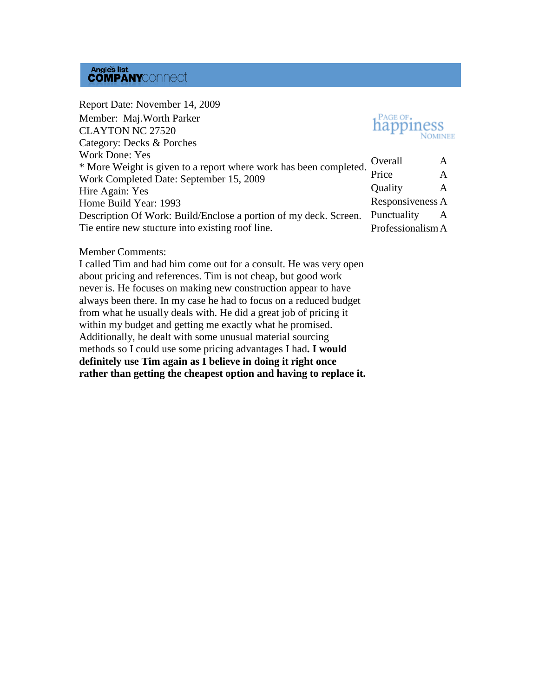### **Angies list<br>COMPANY**CONNect

| Report Date: November 14, 2009                                    |                   |   |  |
|-------------------------------------------------------------------|-------------------|---|--|
| Member: Maj. Worth Parker                                         | <b>happiness</b>  |   |  |
| <b>CLAYTON NC 27520</b>                                           |                   |   |  |
| Category: Decks & Porches                                         |                   |   |  |
| <b>Work Done: Yes</b>                                             | Overall           | A |  |
| * More Weight is given to a report where work has been completed. |                   |   |  |
| Work Completed Date: September 15, 2009                           | Price             | A |  |
| Hire Again: Yes                                                   | Quality           | A |  |
| Home Build Year: 1993                                             | Responsiveness A  |   |  |
| Description Of Work: Build/Enclose a portion of my deck. Screen.  | Punctuality       | A |  |
| The entire new stucture into existing roof line.                  | Professionalism A |   |  |

#### Member Comments:

I called Tim and had him come out for a consult. He was very open about pricing and references. Tim is not cheap, but good work never is. He focuses on making new construction appear to have always been there. In my case he had to focus on a reduced budget from what he usually deals with. He did a great job of pricing it within my budget and getting me exactly what he promised. Additionally, he dealt with some unusual material sourcing methods so I could use some pricing advantages I had**. I would definitely use Tim again as I believe in doing it right once rather than getting the cheapest option and having to replace it.**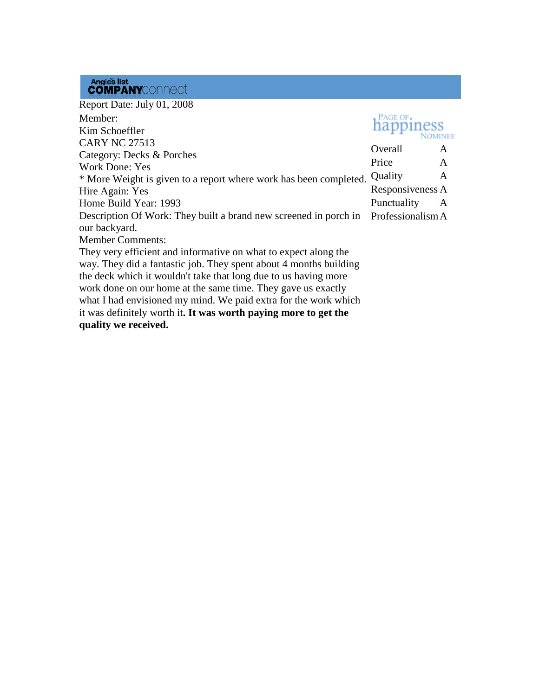## Angles list<br>**COMPANY**CONNect

Report Date: July 01, 2008 PAGE OF. Member: happiness Kim Schoeffler **NOMINEE** CARY NC 27513 Overall A Category: Decks & Porches Price A Work Done: Yes \* More Weight is given to a report where work has been completed. Quality  $\mathbf{A}$ Responsiveness A Hire Again: Yes Punctuality A Home Build Year: 1993 Description Of Work: They built a brand new screened in porch in ProfessionalismAour backyard. Member Comments: They very efficient and informative on what to expect along the way. They did a fantastic job. They spent about 4 months building the deck which it wouldn't take that long due to us having more work done on our home at the same time. They gave us exactly

what I had envisioned my mind. We paid extra for the work which it was definitely worth it**. It was worth paying more to get the quality we received.**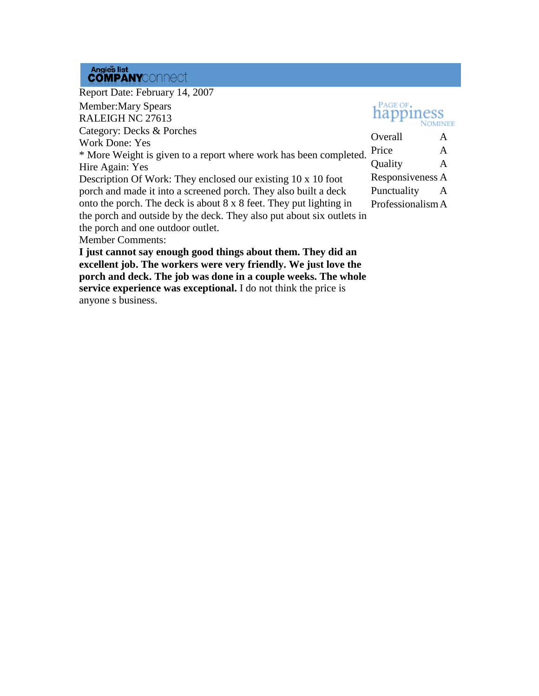## Angies list<br>**COMPANY**CONNect

| Report Date: February 14, 2007                                                                                                  |                   |   |
|---------------------------------------------------------------------------------------------------------------------------------|-------------------|---|
| <b>Member:Mary Spears</b>                                                                                                       | PAGE OF.          |   |
| RALEIGH NC 27613                                                                                                                |                   |   |
| Category: Decks & Porches                                                                                                       | Overall           |   |
| <b>Work Done: Yes</b>                                                                                                           |                   | A |
| * More Weight is given to a report where work has been completed.                                                               | Price             | A |
| Hire Again: Yes                                                                                                                 | Quality           | A |
| Description Of Work: They enclosed our existing 10 x 10 foot                                                                    | Responsiveness A  |   |
| porch and made it into a screened porch. They also built a deck                                                                 | Punctuality       | A |
| onto the porch. The deck is about 8 x 8 feet. They put lighting in                                                              | Professionalism A |   |
| the porch and outside by the deck. They also put about six outlets in                                                           |                   |   |
| the porch and one outdoor outlet.                                                                                               |                   |   |
| <b>Member Comments:</b>                                                                                                         |                   |   |
| I just cannot say enough good things about them. They did an<br>excellent job. The workers were very friendly. We just love the |                   |   |

**porch and deck. The job was done in a couple weeks. The whole service experience was exceptional.** I do not think the price is anyone s business.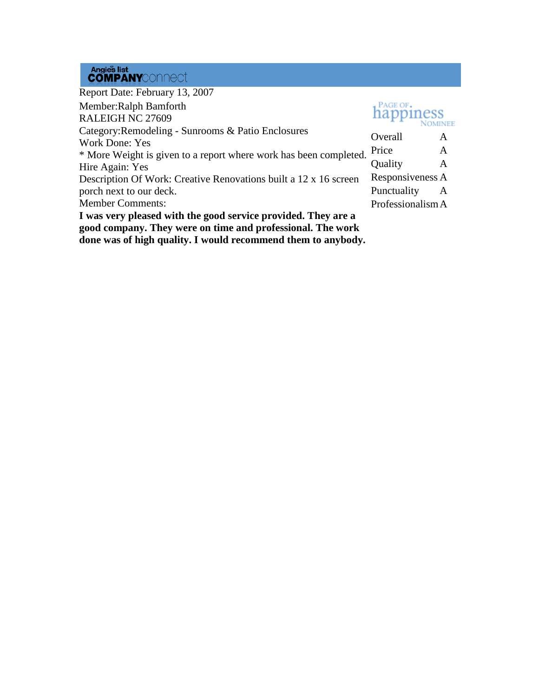# Angies list<br>**COMPANY**CONNect

| Report Date: February 13, 2007                                    |                   |   |
|-------------------------------------------------------------------|-------------------|---|
| Member: Ralph Bamforth                                            | PAGE OF.          |   |
| RALEIGH NC 27609                                                  | happiness         |   |
| Category: Remodeling - Sunrooms & Patio Enclosures                | Overall           | A |
| Work Done: Yes                                                    |                   |   |
| * More Weight is given to a report where work has been completed. | Price             | A |
| Hire Again: Yes                                                   | Quality           | A |
| Description Of Work: Creative Renovations built a 12 x 16 screen  | Responsiveness A  |   |
| porch next to our deck.                                           | Punctuality       | A |
| <b>Member Comments:</b>                                           | Professionalism A |   |
| I was very pleased with the good service provided. They are a     |                   |   |
| good company. They were on time and professional. The work        |                   |   |
| done was of high quality. I would recommend them to anybody.      |                   |   |